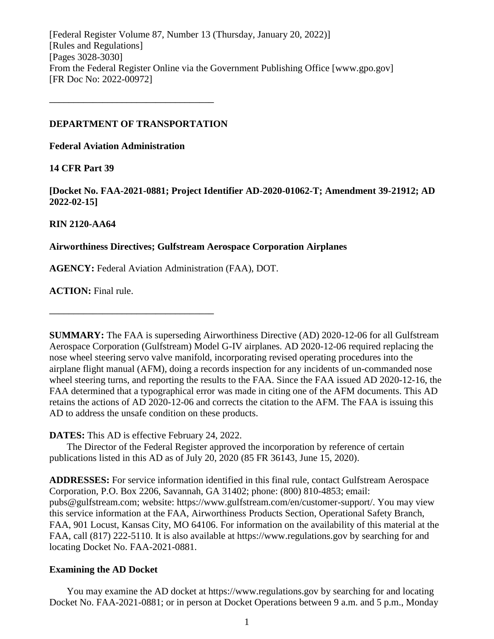[Federal Register Volume 87, Number 13 (Thursday, January 20, 2022)] [Rules and Regulations] [Pages 3028-3030] From the Federal Register Online via the Government Publishing Office [www.gpo.gov] [FR Doc No: 2022-00972]

#### **DEPARTMENT OF TRANSPORTATION**

**––––––––––––––––––––––––––––––––––**

**Federal Aviation Administration**

# **14 CFR Part 39**

**[Docket No. FAA-2021-0881; Project Identifier AD-2020-01062-T; Amendment 39-21912; AD 2022-02-15]**

# **RIN 2120-AA64**

# **Airworthiness Directives; Gulfstream Aerospace Corporation Airplanes**

**AGENCY:** Federal Aviation Administration (FAA), DOT.

**ACTION:** Final rule.

**SUMMARY:** The FAA is superseding Airworthiness Directive (AD) 2020-12-06 for all Gulfstream Aerospace Corporation (Gulfstream) Model G-IV airplanes. AD 2020-12-06 required replacing the nose wheel steering servo valve manifold, incorporating revised operating procedures into the airplane flight manual (AFM), doing a records inspection for any incidents of un-commanded nose wheel steering turns, and reporting the results to the FAA. Since the FAA issued AD 2020-12-16, the FAA determined that a typographical error was made in citing one of the AFM documents. This AD retains the actions of AD 2020-12-06 and corrects the citation to the AFM. The FAA is issuing this AD to address the unsafe condition on these products.

# **DATES:** This AD is effective February 24, 2022.

**––––––––––––––––––––––––––––––––––**

The Director of the Federal Register approved the incorporation by reference of certain publications listed in this AD as of July 20, 2020 (85 FR 36143, June 15, 2020).

**ADDRESSES:** For service information identified in this final rule, contact Gulfstream Aerospace Corporation, P.O. Box 2206, Savannah, GA 31402; phone: (800) 810-4853; email: pubs@gulfstream.com; website: https://www.gulfstream.com/en/customer-support/. You may view this service information at the FAA, Airworthiness Products Section, Operational Safety Branch, FAA, 901 Locust, Kansas City, MO 64106. For information on the availability of this material at the FAA, call (817) 222-5110. It is also available at https://www.regulations.gov by searching for and locating Docket No. FAA-2021-0881.

# **Examining the AD Docket**

You may examine the AD docket at https://www.regulations.gov by searching for and locating Docket No. FAA-2021-0881; or in person at Docket Operations between 9 a.m. and 5 p.m., Monday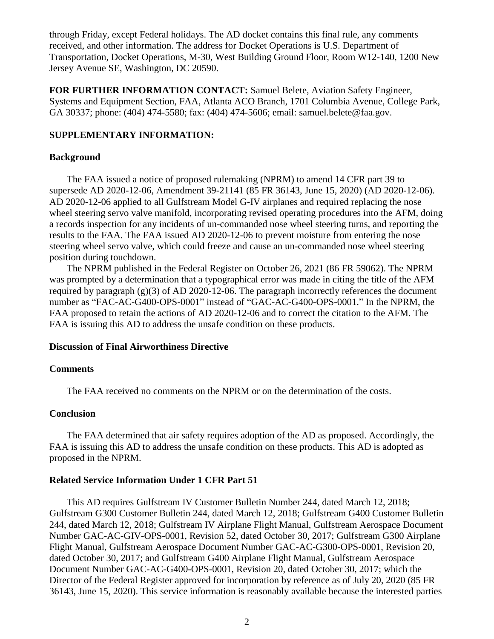through Friday, except Federal holidays. The AD docket contains this final rule, any comments received, and other information. The address for Docket Operations is U.S. Department of Transportation, Docket Operations, M-30, West Building Ground Floor, Room W12-140, 1200 New Jersey Avenue SE, Washington, DC 20590.

**FOR FURTHER INFORMATION CONTACT:** Samuel Belete, Aviation Safety Engineer, Systems and Equipment Section, FAA, Atlanta ACO Branch, 1701 Columbia Avenue, College Park, GA 30337; phone: (404) 474-5580; fax: (404) 474-5606; email: samuel.belete@faa.gov.

## **SUPPLEMENTARY INFORMATION:**

#### **Background**

The FAA issued a notice of proposed rulemaking (NPRM) to amend 14 CFR part 39 to supersede AD 2020-12-06, Amendment 39-21141 (85 FR 36143, June 15, 2020) (AD 2020-12-06). AD 2020-12-06 applied to all Gulfstream Model G-IV airplanes and required replacing the nose wheel steering servo valve manifold, incorporating revised operating procedures into the AFM, doing a records inspection for any incidents of un-commanded nose wheel steering turns, and reporting the results to the FAA. The FAA issued AD 2020-12-06 to prevent moisture from entering the nose steering wheel servo valve, which could freeze and cause an un-commanded nose wheel steering position during touchdown.

The NPRM published in the Federal Register on October 26, 2021 (86 FR 59062). The NPRM was prompted by a determination that a typographical error was made in citing the title of the AFM required by paragraph  $(g)(3)$  of AD 2020-12-06. The paragraph incorrectly references the document number as "FAC-AC-G400-OPS-0001" instead of "GAC-AC-G400-OPS-0001." In the NPRM, the FAA proposed to retain the actions of AD 2020-12-06 and to correct the citation to the AFM. The FAA is issuing this AD to address the unsafe condition on these products.

### **Discussion of Final Airworthiness Directive**

#### **Comments**

The FAA received no comments on the NPRM or on the determination of the costs.

#### **Conclusion**

The FAA determined that air safety requires adoption of the AD as proposed. Accordingly, the FAA is issuing this AD to address the unsafe condition on these products. This AD is adopted as proposed in the NPRM.

#### **Related Service Information Under 1 CFR Part 51**

This AD requires Gulfstream IV Customer Bulletin Number 244, dated March 12, 2018; Gulfstream G300 Customer Bulletin 244, dated March 12, 2018; Gulfstream G400 Customer Bulletin 244, dated March 12, 2018; Gulfstream IV Airplane Flight Manual, Gulfstream Aerospace Document Number GAC-AC-GIV-OPS-0001, Revision 52, dated October 30, 2017; Gulfstream G300 Airplane Flight Manual, Gulfstream Aerospace Document Number GAC-AC-G300-OPS-0001, Revision 20, dated October 30, 2017; and Gulfstream G400 Airplane Flight Manual, Gulfstream Aerospace Document Number GAC-AC-G400-OPS-0001, Revision 20, dated October 30, 2017; which the Director of the Federal Register approved for incorporation by reference as of July 20, 2020 (85 FR 36143, June 15, 2020). This service information is reasonably available because the interested parties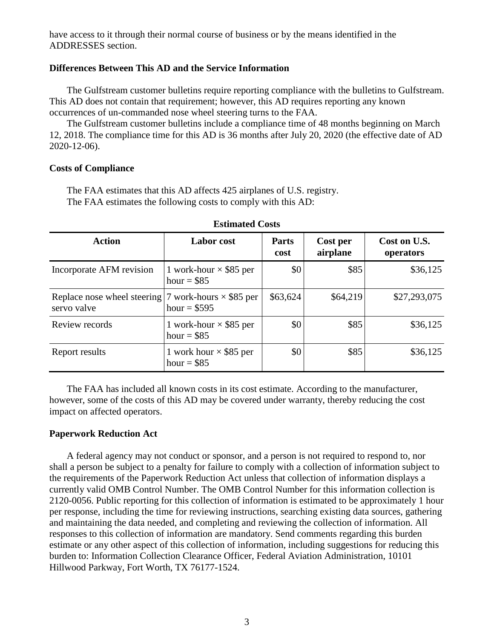have access to it through their normal course of business or by the means identified in the ADDRESSES section.

# **Differences Between This AD and the Service Information**

The Gulfstream customer bulletins require reporting compliance with the bulletins to Gulfstream. This AD does not contain that requirement; however, this AD requires reporting any known occurrences of un-commanded nose wheel steering turns to the FAA.

The Gulfstream customer bulletins include a compliance time of 48 months beginning on March 12, 2018. The compliance time for this AD is 36 months after July 20, 2020 (the effective date of AD 2020-12-06).

#### **Costs of Compliance**

The FAA estimates that this AD affects 425 airplanes of U.S. registry. The FAA estimates the following costs to comply with this AD:

| помината сова                                                               |                                               |                      |                      |                           |
|-----------------------------------------------------------------------------|-----------------------------------------------|----------------------|----------------------|---------------------------|
| <b>Action</b>                                                               | <b>Labor</b> cost                             | <b>Parts</b><br>cost | Cost per<br>airplane | Cost on U.S.<br>operators |
| Incorporate AFM revision                                                    | 1 work-hour $\times$ \$85 per<br>hour = $$85$ | \$0                  | \$85                 | \$36,125                  |
| Replace nose wheel steering   7 work-hours $\times$ \$85 per<br>servo valve | hour = $$595$                                 | \$63,624             | \$64,219             | \$27,293,075              |
| Review records                                                              | 1 work-hour $\times$ \$85 per<br>hour = $$85$ | \$0                  | \$85                 | \$36,125                  |
| Report results                                                              | 1 work hour $\times$ \$85 per<br>hour = $$85$ | \$0                  | \$85                 | \$36,125                  |

#### **Estimated Costs**

The FAA has included all known costs in its cost estimate. According to the manufacturer, however, some of the costs of this AD may be covered under warranty, thereby reducing the cost impact on affected operators.

#### **Paperwork Reduction Act**

A federal agency may not conduct or sponsor, and a person is not required to respond to, nor shall a person be subject to a penalty for failure to comply with a collection of information subject to the requirements of the Paperwork Reduction Act unless that collection of information displays a currently valid OMB Control Number. The OMB Control Number for this information collection is 2120-0056. Public reporting for this collection of information is estimated to be approximately 1 hour per response, including the time for reviewing instructions, searching existing data sources, gathering and maintaining the data needed, and completing and reviewing the collection of information. All responses to this collection of information are mandatory. Send comments regarding this burden estimate or any other aspect of this collection of information, including suggestions for reducing this burden to: Information Collection Clearance Officer, Federal Aviation Administration, 10101 Hillwood Parkway, Fort Worth, TX 76177-1524.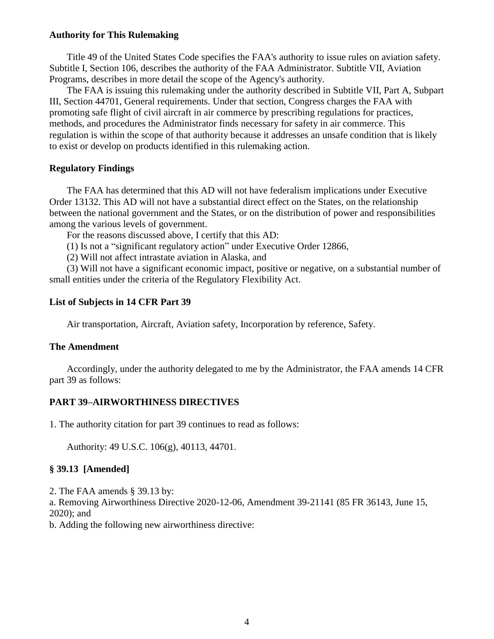#### **Authority for This Rulemaking**

Title 49 of the United States Code specifies the FAA's authority to issue rules on aviation safety. Subtitle I, Section 106, describes the authority of the FAA Administrator. Subtitle VII, Aviation Programs, describes in more detail the scope of the Agency's authority.

The FAA is issuing this rulemaking under the authority described in Subtitle VII, Part A, Subpart III, Section 44701, General requirements. Under that section, Congress charges the FAA with promoting safe flight of civil aircraft in air commerce by prescribing regulations for practices, methods, and procedures the Administrator finds necessary for safety in air commerce. This regulation is within the scope of that authority because it addresses an unsafe condition that is likely to exist or develop on products identified in this rulemaking action.

#### **Regulatory Findings**

The FAA has determined that this AD will not have federalism implications under Executive Order 13132. This AD will not have a substantial direct effect on the States, on the relationship between the national government and the States, or on the distribution of power and responsibilities among the various levels of government.

For the reasons discussed above, I certify that this AD:

(1) Is not a "significant regulatory action" under Executive Order 12866,

(2) Will not affect intrastate aviation in Alaska, and

(3) Will not have a significant economic impact, positive or negative, on a substantial number of small entities under the criteria of the Regulatory Flexibility Act.

# **List of Subjects in 14 CFR Part 39**

Air transportation, Aircraft, Aviation safety, Incorporation by reference, Safety.

### **The Amendment**

Accordingly, under the authority delegated to me by the Administrator, the FAA amends 14 CFR part 39 as follows:

# **PART 39–AIRWORTHINESS DIRECTIVES**

1. The authority citation for part 39 continues to read as follows:

Authority: 49 U.S.C. 106(g), 40113, 44701.

#### **§ 39.13 [Amended]**

2. The FAA amends § 39.13 by:

a. Removing Airworthiness Directive 2020-12-06, Amendment 39-21141 (85 FR 36143, June 15, 2020); and

b. Adding the following new airworthiness directive: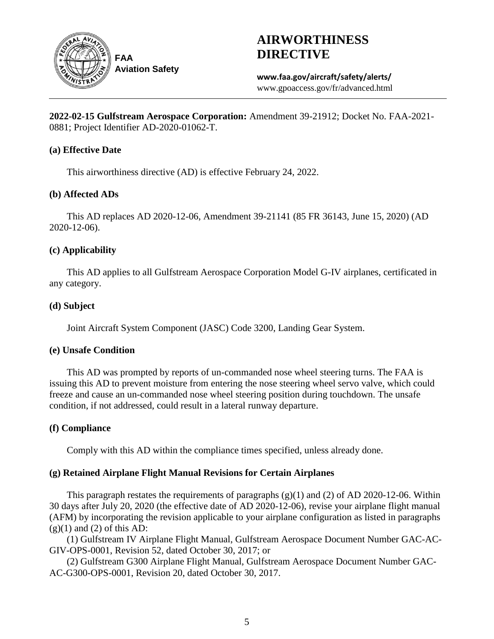

# **AIRWORTHINESS DIRECTIVE**

**www.faa.gov/aircraft/safety/alerts/** www.gpoaccess.gov/fr/advanced.html

**2022-02-15 Gulfstream Aerospace Corporation:** Amendment 39-21912; Docket No. FAA-2021- 0881; Project Identifier AD-2020-01062-T.

# **(a) Effective Date**

This airworthiness directive (AD) is effective February 24, 2022.

# **(b) Affected ADs**

This AD replaces AD 2020-12-06, Amendment 39-21141 (85 FR 36143, June 15, 2020) (AD 2020-12-06).

# **(c) Applicability**

This AD applies to all Gulfstream Aerospace Corporation Model G-IV airplanes, certificated in any category.

# **(d) Subject**

Joint Aircraft System Component (JASC) Code 3200, Landing Gear System.

# **(e) Unsafe Condition**

This AD was prompted by reports of un-commanded nose wheel steering turns. The FAA is issuing this AD to prevent moisture from entering the nose steering wheel servo valve, which could freeze and cause an un-commanded nose wheel steering position during touchdown. The unsafe condition, if not addressed, could result in a lateral runway departure.

# **(f) Compliance**

Comply with this AD within the compliance times specified, unless already done.

# **(g) Retained Airplane Flight Manual Revisions for Certain Airplanes**

This paragraph restates the requirements of paragraphs  $(g)(1)$  and  $(2)$  of AD 2020-12-06. Within 30 days after July 20, 2020 (the effective date of AD 2020-12-06), revise your airplane flight manual (AFM) by incorporating the revision applicable to your airplane configuration as listed in paragraphs  $(g)(1)$  and  $(2)$  of this AD:

(1) Gulfstream IV Airplane Flight Manual, Gulfstream Aerospace Document Number GAC-AC-GIV-OPS-0001, Revision 52, dated October 30, 2017; or

(2) Gulfstream G300 Airplane Flight Manual, Gulfstream Aerospace Document Number GAC-AC-G300-OPS-0001, Revision 20, dated October 30, 2017.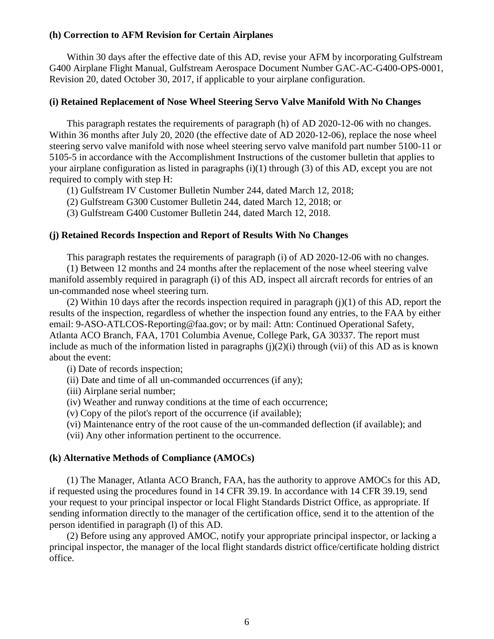#### **(h) Correction to AFM Revision for Certain Airplanes**

Within 30 days after the effective date of this AD, revise your AFM by incorporating Gulfstream G400 Airplane Flight Manual, Gulfstream Aerospace Document Number GAC-AC-G400-OPS-0001, Revision 20, dated October 30, 2017, if applicable to your airplane configuration.

#### **(i) Retained Replacement of Nose Wheel Steering Servo Valve Manifold With No Changes**

This paragraph restates the requirements of paragraph (h) of AD 2020-12-06 with no changes. Within 36 months after July 20, 2020 (the effective date of AD 2020-12-06), replace the nose wheel steering servo valve manifold with nose wheel steering servo valve manifold part number 5100-11 or 5105-5 in accordance with the Accomplishment Instructions of the customer bulletin that applies to your airplane configuration as listed in paragraphs (i)(1) through (3) of this AD, except you are not required to comply with step H:

(1) Gulfstream IV Customer Bulletin Number 244, dated March 12, 2018;

(2) Gulfstream G300 Customer Bulletin 244, dated March 12, 2018; or

(3) Gulfstream G400 Customer Bulletin 244, dated March 12, 2018.

## **(j) Retained Records Inspection and Report of Results With No Changes**

This paragraph restates the requirements of paragraph (i) of AD 2020-12-06 with no changes.

(1) Between 12 months and 24 months after the replacement of the nose wheel steering valve manifold assembly required in paragraph (i) of this AD, inspect all aircraft records for entries of an un-commanded nose wheel steering turn.

(2) Within 10 days after the records inspection required in paragraph  $(i)(1)$  of this AD, report the results of the inspection, regardless of whether the inspection found any entries, to the FAA by either email: 9-ASO-ATLCOS-Reporting@faa.gov; or by mail: Attn: Continued Operational Safety, Atlanta ACO Branch, FAA, 1701 Columbia Avenue, College Park, GA 30337. The report must include as much of the information listed in paragraphs  $(i)(2)(i)$  through (vii) of this AD as is known about the event:

(i) Date of records inspection;

(ii) Date and time of all un-commanded occurrences (if any);

(iii) Airplane serial number;

(iv) Weather and runway conditions at the time of each occurrence;

(v) Copy of the pilot's report of the occurrence (if available);

(vi) Maintenance entry of the root cause of the un-commanded deflection (if available); and

(vii) Any other information pertinent to the occurrence.

## **(k) Alternative Methods of Compliance (AMOCs)**

(1) The Manager, Atlanta ACO Branch, FAA, has the authority to approve AMOCs for this AD, if requested using the procedures found in 14 CFR 39.19. In accordance with 14 CFR 39.19, send your request to your principal inspector or local Flight Standards District Office, as appropriate. If sending information directly to the manager of the certification office, send it to the attention of the person identified in paragraph (l) of this AD.

(2) Before using any approved AMOC, notify your appropriate principal inspector, or lacking a principal inspector, the manager of the local flight standards district office/certificate holding district office.